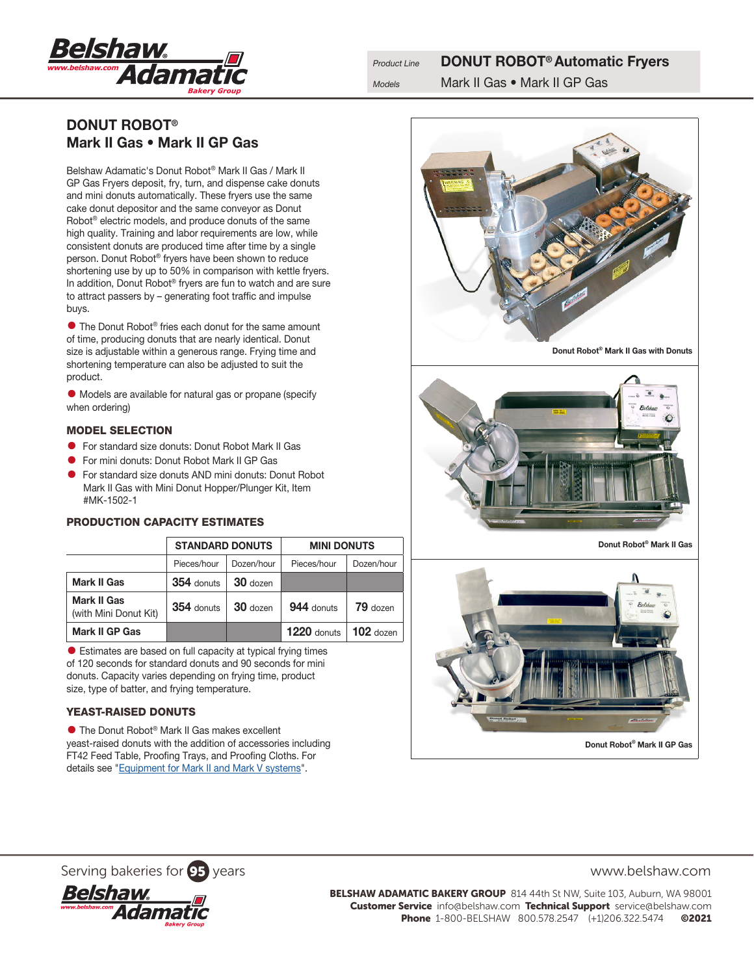

# DONUT ROBOT® Mark II Gas • Mark II GP Gas

Belshaw Adamatic's Donut Robot® Mark II Gas / Mark II GP Gas Fryers deposit, fry, turn, and dispense cake donuts and mini donuts automatically. These fryers use the same cake donut depositor and the same conveyor as Donut Robot® electric models, and produce donuts of the same high quality. Training and labor requirements are low, while consistent donuts are produced time after time by a single person. Donut Robot® fryers have been shown to reduce shortening use by up to 50% in comparison with kettle fryers. In addition, Donut Robot® fryers are fun to watch and are sure to attract passers by – generating foot traffic and impulse buys.

**•** The Donut Robot® fries each donut for the same amount of time, producing donuts that are nearly identical. Donut size is adjustable within a generous range. Frying time and shortening temperature can also be adjusted to suit the product.

• Models are available for natural gas or propane (specify when ordering)

## MODEL SELECTION

- For standard size donuts: Donut Robot Mark II Gas
- For mini donuts: Donut Robot Mark II GP Gas
- For standard size donuts AND mini donuts: Donut Robot Mark II Gas with Mini Donut Hopper/Plunger Kit, Item #MK-1502-1

# PRODUCTION CAPACITY ESTIMATES

|                                             | <b>STANDARD DONUTS</b> |            | <b>MINI DONUTS</b> |             |
|---------------------------------------------|------------------------|------------|--------------------|-------------|
|                                             | Pieces/hour            | Dozen/hour | Pieces/hour        | Dozen/hour  |
| <b>Mark II Gas</b>                          | 354 donuts             | 30 dozen   |                    |             |
| <b>Mark II Gas</b><br>(with Mini Donut Kit) | 354 donuts             | $30$ dozen | 944 donuts         | 79 dozen    |
| <b>Mark II GP Gas</b>                       |                        |            | $1220$ donuts      | $102$ dozen |

• Estimates are based on full capacity at typical frying times of 120 seconds for standard donuts and 90 seconds for mini donuts. Capacity varies depending on frying time, product size, type of batter, and frying temperature.

## YEAST-RAISED DONUTS

● The Donut Robot<sup>®</sup> Mark II Gas makes excellent yeast-raised donuts with the addition of accessories including FT42 Feed Table, Proofing Trays, and Proofing Cloths. For details see "[Equipment for Mark II and Mark V systems](http://belshaw-adamatic.com/uploads/pdf/Belshaw-Adamatic-Mark2-Mark5-Accessories.pdf)".





Donut Robot® Mark II Gas



Serving bakeries for **95** years www.belshaw.com



BELSHAW ADAMATIC BAKERY GROUP 814 44th St NW, Suite 103, Auburn, WA 98001 Customer Service info@belshaw.com Technical Support service@belshaw.com Phone 1-800-BELSHAW 800.578.2547 (+1)206.322.5474 ©2021